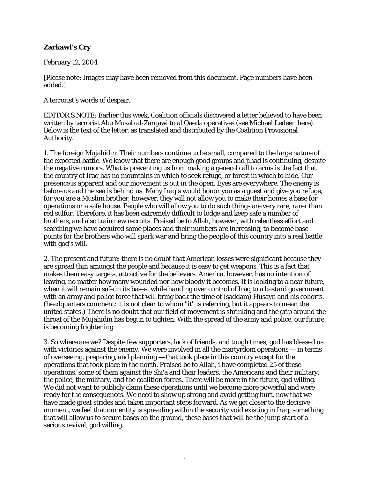## **Zarkawi's Cry**

February 12, 2004

[Please note: Images may have been removed from this document. Page numbers have been added.]

A terrorist's words of despair.

EDITOR'S NOTE: Earlier this week, Coalition officials discovered a letter believed to have been written by terrorist Abu Musab al-Zarqawi to al Qaeda operatives (see Michael Ledeen here). Below is the text of the letter, as translated and distributed by the Coalition Provisional Authority.

1. The foreign Mujahidin: Their numbers continue to be small, compared to the large nature of the expected battle. We know that there are enough good groups and jihad is continuing, despite the negative rumors. What is preventing us from making a general call to arms is the fact that the country of Iraq has no mountains in which to seek refuge, or forest in which to hide. Our presence is apparent and our movement is out in the open. Eyes are everywhere. The enemy is before us and the sea is behind us. Many Iraqis would honor you as a guest and give you refuge, for you are a Muslim brother; however, they will not allow you to make their homes a base for operations or a safe house. People who will allow you to do such things are very rare, rarer than red sulfur. Therefore, it has been extremely difficult to lodge and keep safe a number of brothers, and also train new recruits. Praised be to Allah, however, with relentless effort and searching we have acquired some places and their numbers are increasing, to become base points for the brothers who will spark war and bring the people of this country into a real battle with god's will.

2. The present and future: there is no doubt that American losses were significant because they are spread thin amongst the people and because it is easy to get weapons. This is a fact that makes them easy targets, attractive for the believers. America, however, has no intention of leaving, no matter how many wounded nor how bloody it becomes. It is looking to a near future, when it will remain safe in its bases, while handing over control of Iraq to a bastard government with an army and police force that will bring back the time of (saddam) Husayn and his cohorts. (headquarters comment: it is not clear to whom "it" is referring, but it appears to mean the united states.) There is no doubt that our field of movement is shrinking and the grip around the throat of the Mujahidin has begun to tighten. With the spread of the army and police, our future is becoming frightening.

3. So where are we? Despite few supporters, lack of friends, and tough times, god has blessed us with victories against the enemy. We were involved in all the martyrdom operations — in terms of overseeing, preparing, and planning — that took place in this country except for the operations that took place in the north. Praised be to Allah, i have completed 25 of these operations, some of them against the Shi'a and their leaders, the Americans and their military, the police, the military, and the coalition forces. There will be more in the future, god willing. We did not want to publicly claim these operations until we become more powerful and were ready for the consequences. We need to show up strong and avoid getting hurt, now that we have made great strides and taken important steps forward. As we get closer to the decisive moment, we feel that our entity is spreading within the security void existing in Iraq, something that will allow us to secure bases on the ground, these bases that will be the jump start of a serious revival, god willing.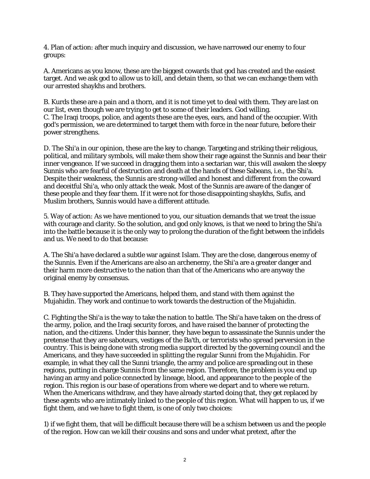4. Plan of action: after much inquiry and discussion, we have narrowed our enemy to four groups:

A. Americans as you know, these are the biggest cowards that god has created and the easiest target. And we ask god to allow us to kill, and detain them, so that we can exchange them with our arrested shaykhs and brothers.

B. Kurds these are a pain and a thorn, and it is not time yet to deal with them. They are last on our list, even though we are trying to get to some of their leaders. God willing. C. The Iraqi troops, police, and agents these are the eyes, ears, and hand of the occupier. With god's permission, we are determined to target them with force in the near future, before their power strengthens.

D. The Shi'a in our opinion, these are the key to change. Targeting and striking their religious, political, and military symbols, will make them show their rage against the Sunnis and bear their inner vengeance. If we succeed in dragging them into a sectarian war, this will awaken the sleepy Sunnis who are fearful of destruction and death at the hands of these Sabeans, i.e., the Shi'a. Despite their weakness, the Sunnis are strong-willed and honest and different from the coward and deceitful Shi'a, who only attack the weak. Most of the Sunnis are aware of the danger of these people and they fear them. If it were not for those disappointing shaykhs, Sufis, and Muslim brothers, Sunnis would have a different attitude.

5. Way of action: As we have mentioned to you, our situation demands that we treat the issue with courage and clarity. So the solution, and god only knows, is that we need to bring the Shi'a into the battle because it is the only way to prolong the duration of the fight between the infidels and us. We need to do that because:

A. The Shi'a have declared a subtle war against Islam. They are the close, dangerous enemy of the Sunnis. Even if the Americans are also an archenemy, the Shi'a are a greater danger and their harm more destructive to the nation than that of the Americans who are anyway the original enemy by consensus.

B. They have supported the Americans, helped them, and stand with them against the Mujahidin. They work and continue to work towards the destruction of the Mujahidin.

C. Fighting the Shi'a is the way to take the nation to battle. The Shi'a have taken on the dress of the army, police, and the Iraqi security forces, and have raised the banner of protecting the nation, and the citizens. Under this banner, they have begun to assassinate the Sunnis under the pretense that they are saboteurs, vestiges of the Ba'th, or terrorists who spread perversion in the country. This is being done with strong media support directed by the governing council and the Americans, and they have succeeded in splitting the regular Sunni from the Mujahidin. For example, in what they call the Sunni triangle, the army and police are spreading out in these regions, putting in charge Sunnis from the same region. Therefore, the problem is you end up having an army and police connected by lineage, blood, and appearance to the people of the region. This region is our base of operations from where we depart and to where we return. When the Americans withdraw, and they have already started doing that, they get replaced by these agents who are intimately linked to the people of this region. What will happen to us, if we fight them, and we have to fight them, is one of only two choices:

1) if we fight them, that will be difficult because there will be a schism between us and the people of the region. How can we kill their cousins and sons and under what pretext, after the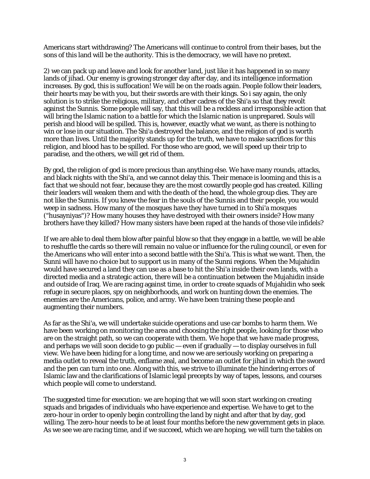Americans start withdrawing? The Americans will continue to control from their bases, but the sons of this land will be the authority. This is the democracy, we will have no pretext.

2) we can pack up and leave and look for another land, just like it has happened in so many lands of jihad. Our enemy is growing stronger day after day, and its intelligence information increases. By god, this is suffocation! We will be on the roads again. People follow their leaders, their hearts may be with you, but their swords are with their kings. So i say again, the only solution is to strike the religious, military, and other cadres of the Shi'a so that they revolt against the Sunnis. Some people will say, that this will be a reckless and irresponsible action that will bring the Islamic nation to a battle for which the Islamic nation is unprepared. Souls will perish and blood will be spilled. This is, however, exactly what we want, as there is nothing to win or lose in our situation. The Shi'a destroyed the balance, and the religion of god is worth more than lives. Until the majority stands up for the truth, we have to make sacrifices for this religion, and blood has to be spilled. For those who are good, we will speed up their trip to paradise, and the others, we will get rid of them.

By god, the religion of god is more precious than anything else. We have many rounds, attacks, and black nights with the Shi'a, and we cannot delay this. Their menace is looming and this is a fact that we should not fear, because they are the most cowardly people god has created. Killing their leaders will weaken them and with the death of the head, the whole group dies. They are not like the Sunnis. If you knew the fear in the souls of the Sunnis and their people, you would weep in sadness. How many of the mosques have they have turned in to Shi'a mosques ("husayniyas")? How many houses they have destroyed with their owners inside? How many brothers have they killed? How many sisters have been raped at the hands of those vile infidels?

If we are able to deal them blow after painful blow so that they engage in a battle, we will be able to reshuffle the cards so there will remain no value or influence for the ruling council, or even for the Americans who will enter into a second battle with the Shi'a. This is what we want. Then, the Sunni will have no choice but to support us in many of the Sunni regions. When the Mujahidin would have secured a land they can use as a base to hit the Shi'a inside their own lands, with a directed media and a strategic action, there will be a continuation between the Mujahidin inside and outside of Iraq. We are racing against time, in order to create squads of Mujahidin who seek refuge in secure places, spy on neighborhoods, and work on hunting down the enemies. The enemies are the Americans, police, and army. We have been training these people and augmenting their numbers.

As far as the Shi'a, we will undertake suicide operations and use car bombs to harm them. We have been working on monitoring the area and choosing the right people, looking for those who are on the straight path, so we can cooperate with them. We hope that we have made progress, and perhaps we will soon decide to go public  $-$  even if gradually  $-$  to display ourselves in full view. We have been hiding for a long time, and now we are seriously working on preparing a media outlet to reveal the truth, enflame zeal, and become an outlet for jihad in which the sword and the pen can turn into one. Along with this, we strive to illuminate the hindering errors of Islamic law and the clarifications of Islamic legal precepts by way of tapes, lessons, and courses which people will come to understand.

The suggested time for execution: we are hoping that we will soon start working on creating squads and brigades of individuals who have experience and expertise. We have to get to the zero-hour in order to openly begin controlling the land by night and after that by day, god willing. The zero-hour needs to be at least four months before the new government gets in place. As we see we are racing time, and if we succeed, which we are hoping, we will turn the tables on